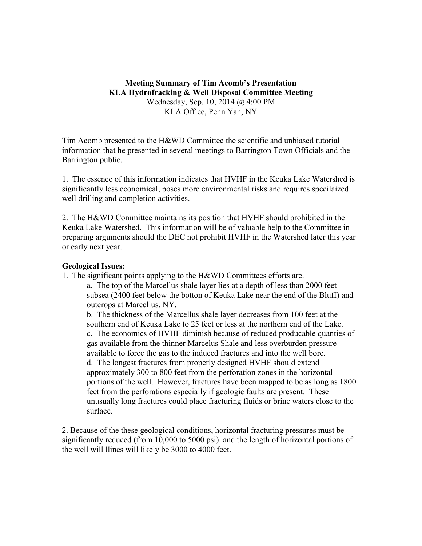**Meeting Summary of Tim Acomb's Presentation KLA Hydrofracking & Well Disposal Committee Meeting** Wednesday, Sep. 10, 2014 @ 4:00 PM KLA Office, Penn Yan, NY

Tim Acomb presented to the H&WD Committee the scientific and unbiased tutorial information that he presented in several meetings to Barrington Town Officials and the Barrington public.

1. The essence of this information indicates that HVHF in the Keuka Lake Watershed is significantly less economical, poses more environmental risks and requires specilaized well drilling and completion activities.

2. The H&WD Committee maintains its position that HVHF should prohibited in the Keuka Lake Watershed. This information will be of valuable help to the Committee in preparing arguments should the DEC not prohibit HVHF in the Watershed later this year or early next year.

## **Geological Issues:**

1. The significant points applying to the H&WD Committees efforts are.

a. The top of the Marcellus shale layer lies at a depth of less than 2000 feet subsea (2400 feet below the botton of Keuka Lake near the end of the Bluff) and outcrops at Marcellus, NY.

b. The thickness of the Marcellus shale layer decreases from 100 feet at the southern end of Keuka Lake to 25 feet or less at the northern end of the Lake. c. The economics of HVHF diminish because of reduced producable quanties of gas available from the thinner Marcelus Shale and less overburden pressure available to force the gas to the induced fractures and into the well bore. d. The longest fractures from properly designed HVHF should extend approximately 300 to 800 feet from the perforation zones in the horizontal portions of the well. However, fractures have been mapped to be as long as 1800 feet from the perforations especially if geologic faults are present. These unusually long fractures could place fracturing fluids or brine waters close to the surface.

2. Because of the these geological conditions, horizontal fracturing pressures must be significantly reduced (from 10,000 to 5000 psi) and the length of horizontal portions of the well will llines will likely be 3000 to 4000 feet.